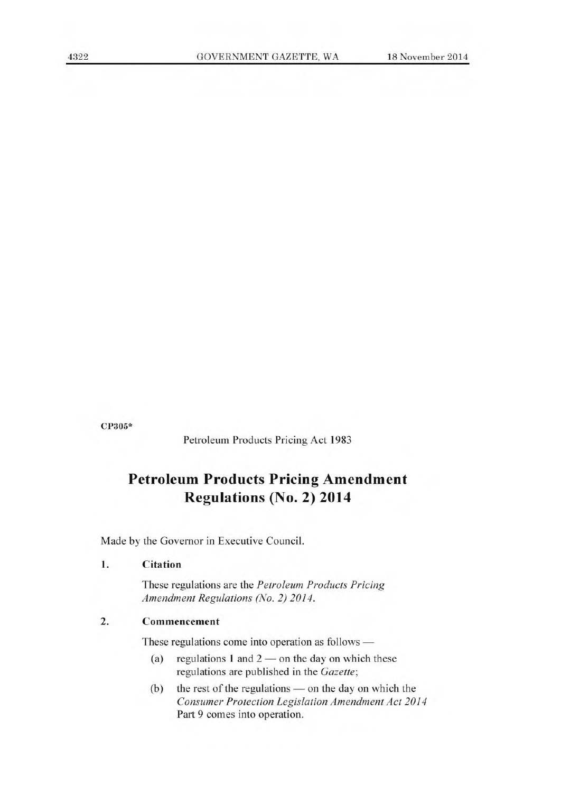**CP305\*** 

Petroleum Products Pricing Act 1983

# **Petroleum Products Pricing Amendment Regulations (No. 2) 2014**

Made by the Governor in Executive Council.

#### **1. Citation**

These regulations are the *Petroleum Products Pricing Amendment Regulations (No. 2) 2014.* 

## **2. Commencement**

These regulations come into operation as follows —

- (a) regulations 1 and  $2$  on the day on which these regulations are published in the *Gazette;*
- (b) the rest of the regulations on the day on which the *Consumer Protection Legislation Amendment Act 2014*  Part 9 comes into operation.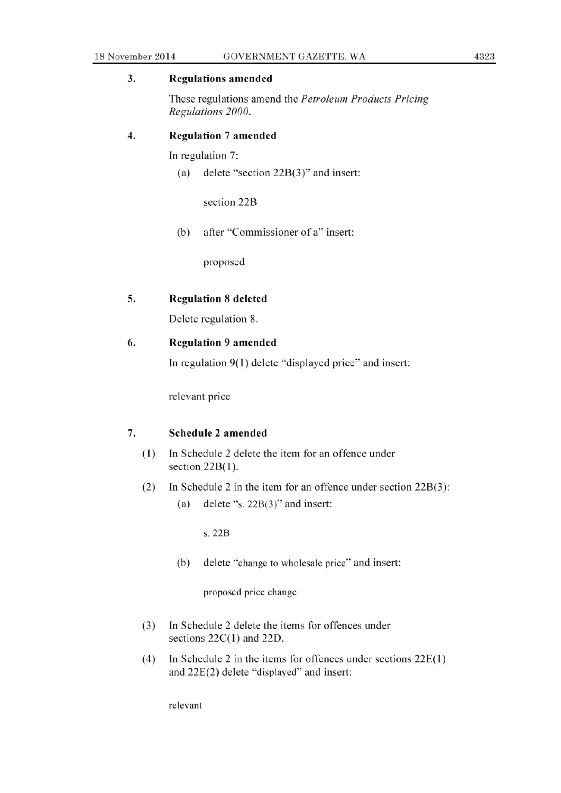#### 3. **Regulations amended**

These regulations amend the *Petroleum Products Pricing Regulations 2000.* 

#### **4. Regulation** 7 **amended**

In regulation 7:

(a) delete "section 22B(3)" and insert:

section 22B

(b) after "Commissioner of a" insert:

proposed

#### **5. Regulation 8 deleted**

Delete regulation 8.

#### **6. Regulation 9 amended**

In regulation 9(1) delete "displayed price" and insert:

relevant price

### 7. **Schedule** 2 amended

- (1) In Schedule 2 delete the item for an offence under section  $22B(1)$ .
- (2) In Schedule 2 in the item for an offence under section  $22B(3)$ :
	- (a) delete "s. 22B(3)" and insert:

s. 22B

(b) delete "change to wholesale price" and insert:

proposed price change

- (3) In Schedule 2 delete the items for offences under sections  $22C(1)$  and  $22D$ .
- (4) In Schedule 2 in the items for offences under sections 22E(1) and 22E(2) delete "displayed" and insert:

relevant